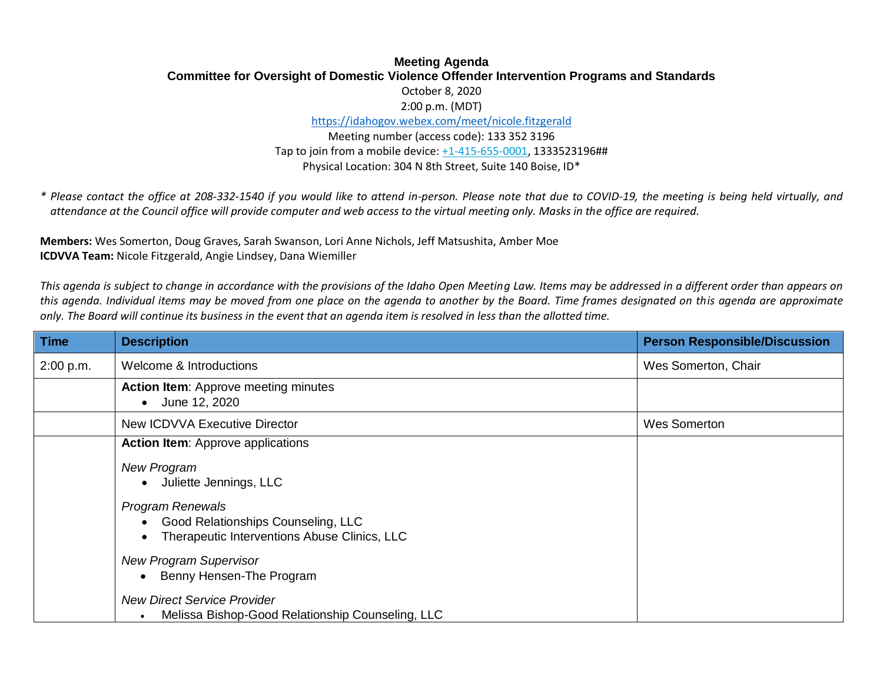## **Meeting Agenda Committee for Oversight of Domestic Violence Offender Intervention Programs and Standards** October 8, 2020 2:00 p.m. (MDT)

<https://idahogov.webex.com/meet/nicole.fitzgerald>

Meeting number (access code): 133 352 3196 Tap to join from a mobile device[: +1-415-655-0001,](tel:+1-415-655-0001,,*01*286476544##*01*) 1333523196## Physical Location: 304 N 8th Street, Suite 140 Boise, ID\*

*\* Please contact the office at 208-332-1540 if you would like to attend in-person. Please note that due to COVID-19, the meeting is being held virtually, and attendance at the Council office will provide computer and web access to the virtual meeting only. Masks in the office are required.*

**Members:** Wes Somerton, Doug Graves, Sarah Swanson, Lori Anne Nichols, Jeff Matsushita, Amber Moe **ICDVVA Team:** Nicole Fitzgerald, Angie Lindsey, Dana Wiemiller

*This agenda is subject to change in accordance with the provisions of the Idaho Open Meeting Law. Items may be addressed in a different order than appears on this agenda. Individual items may be moved from one place on the agenda to another by the Board. Time frames designated on this agenda are approximate only. The Board will continue its business in the event that an agenda item is resolved in less than the allotted time.*

| <b>Time</b> | <b>Description</b>                                                                                            | <b>Person Responsible/Discussion</b> |
|-------------|---------------------------------------------------------------------------------------------------------------|--------------------------------------|
| 2:00 p.m.   | Welcome & Introductions                                                                                       | Wes Somerton, Chair                  |
|             | <b>Action Item:</b> Approve meeting minutes<br>June 12, 2020                                                  |                                      |
|             | New ICDVVA Executive Director                                                                                 | <b>Wes Somerton</b>                  |
|             | <b>Action Item:</b> Approve applications                                                                      |                                      |
|             | <b>New Program</b><br>Juliette Jennings, LLC                                                                  |                                      |
|             | <b>Program Renewals</b><br>Good Relationships Counseling, LLC<br>Therapeutic Interventions Abuse Clinics, LLC |                                      |
|             | <b>New Program Supervisor</b><br>Benny Hensen-The Program                                                     |                                      |
|             | <b>New Direct Service Provider</b><br>Melissa Bishop-Good Relationship Counseling, LLC                        |                                      |